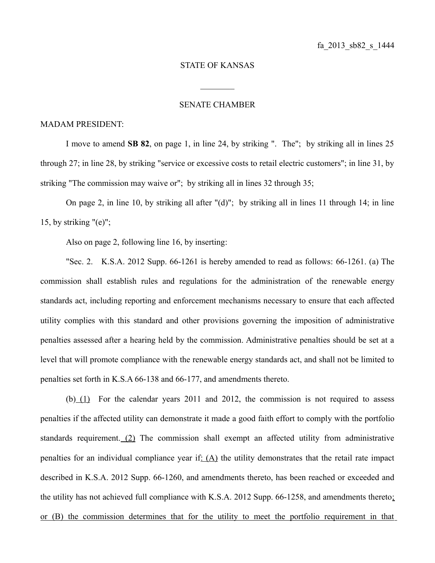## STATE OF KANSAS

 $\frac{1}{2}$ 

## SENATE CHAMBER

## MADAM PRESIDENT:

I move to amend **SB 82**, on page 1, in line 24, by striking ". The"; by striking all in lines 25 through 27; in line 28, by striking "service or excessive costs to retail electric customers"; in line 31, by striking "The commission may waive or"; by striking all in lines 32 through 35;

On page 2, in line 10, by striking all after "(d)"; by striking all in lines 11 through 14; in line 15, by striking  $"(e)"$ ;

Also on page 2, following line 16, by inserting:

"Sec. 2. K.S.A. 2012 Supp. 66-1261 is hereby amended to read as follows: 66-1261. (a) The commission shall establish rules and regulations for the administration of the renewable energy standards act, including reporting and enforcement mechanisms necessary to ensure that each affected utility complies with this standard and other provisions governing the imposition of administrative penalties assessed after a hearing held by the commission. Administrative penalties should be set at a level that will promote compliance with the renewable energy standards act, and shall not be limited to penalties set forth in K.S.A 66-138 and 66-177, and amendments thereto.

(b) (1) For the calendar years 2011 and 2012, the commission is not required to assess penalties if the affected utility can demonstrate it made a good faith effort to comply with the portfolio standards requirement. (2) The commission shall exempt an affected utility from administrative penalties for an individual compliance year if: (A) the utility demonstrates that the retail rate impact described in K.S.A. 2012 Supp. 66-1260, and amendments thereto, has been reached or exceeded and the utility has not achieved full compliance with K.S.A. 2012 Supp. 66-1258, and amendments thereto; or (B) the commission determines that for the utility to meet the portfolio requirement in that